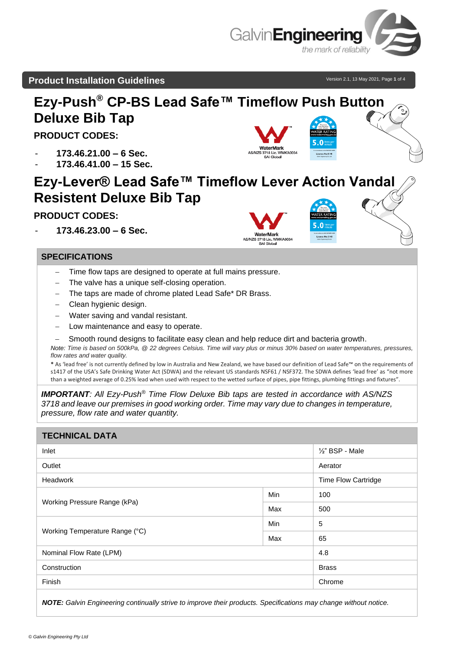

## **Product Installation Guidelines** and the state of the state version 2.1, 13 May 2021, Page 1 of 4



- − The valve has a unique self-closing operation.
- The taps are made of chrome plated Lead Safe\* DR Brass.
- − Clean hygienic design.
- Water saving and vandal resistant.
- Low maintenance and easy to operate.
- Smooth round designs to facilitate easy clean and help reduce dirt and bacteria growth.

*Note: Time is based on 500kPa, @ 22 degrees Celsius. Time will vary plus or minus 30% based on water temperatures, pressures, flow rates and water quality.*

**\*** As 'lead free' is not currently defined by low in Australia and New Zealand, we have based our definition of Lead Safe™ on the requirements of s1417 of the USA's Safe Drinking Water Act (SDWA) and the relevant US standards NSF61 / NSF372. The SDWA defines 'lead free' as "not more than a weighted average of 0.25% lead when used with respect to the wetted surface of pipes, pipe fittings, plumbing fittings and fixtures".

*IMPORTANT: All Ezy-Push® Time Flow Deluxe Bib taps are tested in accordance with AS/NZS 3718 and leave our premises in good working order. Time may vary due to changes in temperature, pressure, flow rate and water quantity.*

#### **TECHNICAL DATA**

| Inlet                          |     | $\frac{1}{2}$ " BSP - Male |
|--------------------------------|-----|----------------------------|
| Outlet                         |     | Aerator                    |
| Headwork                       |     | <b>Time Flow Cartridge</b> |
| Working Pressure Range (kPa)   | Min | 100                        |
|                                | Max | 500                        |
|                                | Min | 5                          |
| Working Temperature Range (°C) | Max | 65                         |
| Nominal Flow Rate (LPM)        |     | 4.8                        |
| Construction                   |     | <b>Brass</b>               |
| Finish                         |     | Chrome                     |
|                                |     |                            |

*NOTE: Galvin Engineering continually strive to improve their products. Specifications may change without notice.*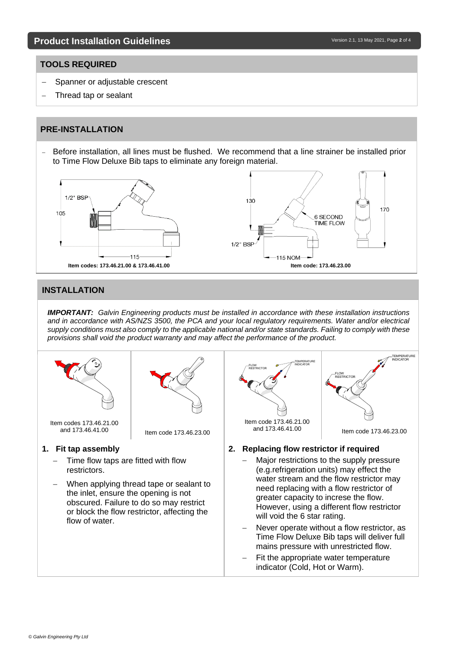#### **TOOLS REQUIRED**

- Spanner or adjustable crescent
- Thread tap or sealant

### **PRE-INSTALLATION**

− Before installation, all lines must be flushed. We recommend that a line strainer be installed prior to Time Flow Deluxe Bib taps to eliminate any foreign material.



#### **INSTALLATION**

*IMPORTANT: Galvin Engineering products must be installed in accordance with these installation instructions and in accordance with AS/NZS 3500, the PCA and your local regulatory requirements. Water and/or electrical supply conditions must also comply to the applicable national and/or state standards. Failing to comply with these provisions shall void the product warranty and may affect the performance of the product.*

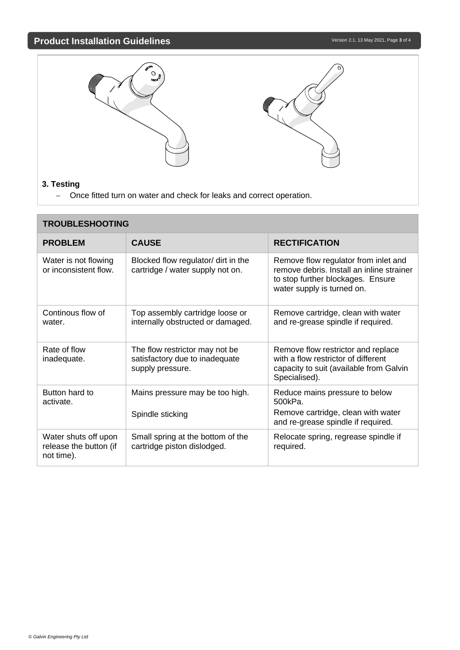# **Product Installation Guidelines** and the state of the state of the Version 2.1, 13 May 2021, Page 3 of 4



− Once fitted turn on water and check for leaks and correct operation.

| <b>TROUBLESHOOTING</b>                                       |                                                                                      |                                                                                                                                                      |  |
|--------------------------------------------------------------|--------------------------------------------------------------------------------------|------------------------------------------------------------------------------------------------------------------------------------------------------|--|
| <b>PROBLEM</b>                                               | <b>CAUSE</b>                                                                         | <b>RECTIFICATION</b>                                                                                                                                 |  |
| Water is not flowing<br>or inconsistent flow.                | Blocked flow regulator/ dirt in the<br>cartridge / water supply not on.              | Remove flow regulator from inlet and<br>remove debris. Install an inline strainer<br>to stop further blockages. Ensure<br>water supply is turned on. |  |
| Continous flow of<br>water.                                  | Top assembly cartridge loose or<br>internally obstructed or damaged.                 | Remove cartridge, clean with water<br>and re-grease spindle if required.                                                                             |  |
| Rate of flow<br>inadequate.                                  | The flow restrictor may not be<br>satisfactory due to inadequate<br>supply pressure. | Remove flow restrictor and replace<br>with a flow restrictor of different<br>capacity to suit (available from Galvin<br>Specialised).                |  |
| Button hard to<br>activate.                                  | Mains pressure may be too high.                                                      | Reduce mains pressure to below<br>500kPa.                                                                                                            |  |
|                                                              | Spindle sticking                                                                     | Remove cartridge, clean with water<br>and re-grease spindle if required.                                                                             |  |
| Water shuts off upon<br>release the button (if<br>not time). | Small spring at the bottom of the<br>cartridge piston dislodged.                     | Relocate spring, regrease spindle if<br>required.                                                                                                    |  |